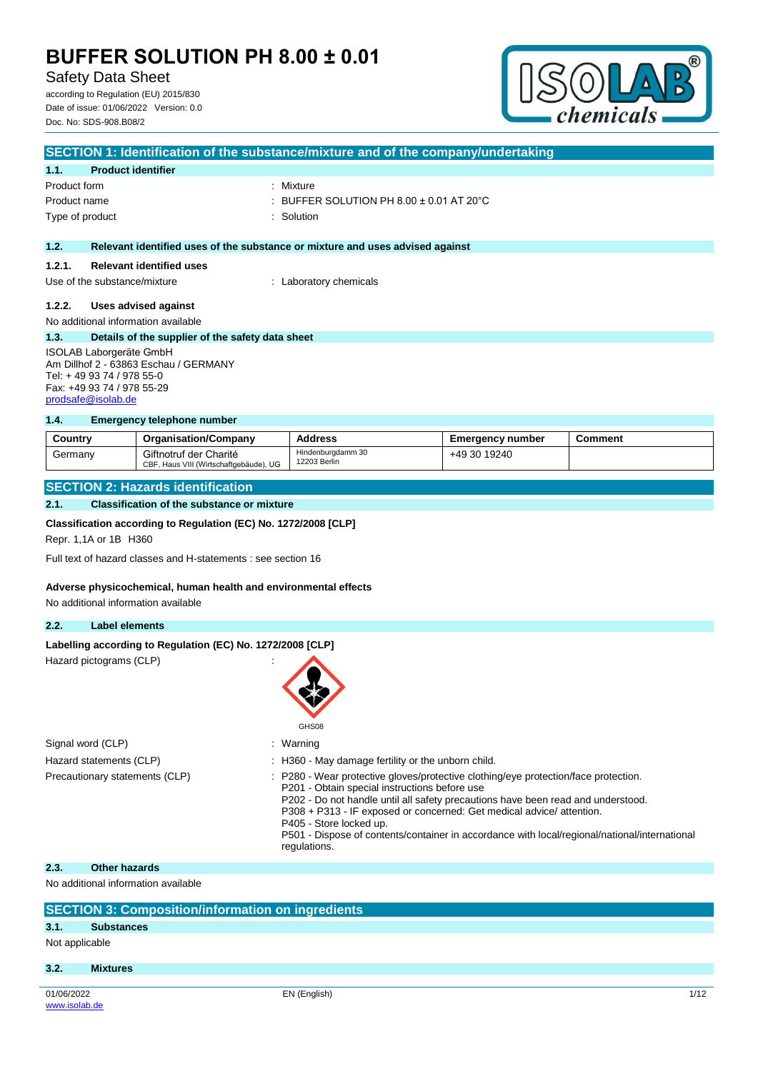Safety Data Sheet

according to Regulation (EU) 2015/830 Date of issue: 01/06/2022 Version: 0.0 Doc. No: SDS-908.B08/2



| SECTION 1: Identification of the substance/mixture and of the company/undertaking |                                                  |                                                                               |  |  |
|-----------------------------------------------------------------------------------|--------------------------------------------------|-------------------------------------------------------------------------------|--|--|
| 1.1.                                                                              | <b>Product identifier</b>                        |                                                                               |  |  |
| Product form                                                                      |                                                  | : Mixture                                                                     |  |  |
| Product name                                                                      |                                                  | : BUFFER SOLUTION PH 8.00 $\pm$ 0.01 AT 20 $^{\circ}$ C                       |  |  |
|                                                                                   | Type of product                                  | : Solution                                                                    |  |  |
|                                                                                   |                                                  |                                                                               |  |  |
| 1.2.                                                                              |                                                  | Relevant identified uses of the substance or mixture and uses advised against |  |  |
| 1.2.1.                                                                            | <b>Relevant identified uses</b>                  |                                                                               |  |  |
|                                                                                   | Use of the substance/mixture                     | : Laboratory chemicals                                                        |  |  |
| 1.2.2.                                                                            | Uses advised against                             |                                                                               |  |  |
|                                                                                   |                                                  |                                                                               |  |  |
|                                                                                   | No additional information available              |                                                                               |  |  |
| 1.3.                                                                              | Details of the supplier of the safety data sheet |                                                                               |  |  |
| ISOLAB Laborgeräte GmbH                                                           |                                                  |                                                                               |  |  |
| Am Dillhof 2 - 63863 Eschau / GERMANY                                             |                                                  |                                                                               |  |  |
| Tel: +49 93 74 / 978 55-0                                                         |                                                  |                                                                               |  |  |
|                                                                                   | Fax: +49 93 74 / 978 55-29                       |                                                                               |  |  |

### **1.4. Emergency telephone number**

| Country | <b>Organisation/Company</b>                                      | <b>Address</b>                    | <b>Emergency number</b> | <b>Comment</b> |
|---------|------------------------------------------------------------------|-----------------------------------|-------------------------|----------------|
| Germanv | Giftnotruf der Charité<br>CBF, Haus VIII (Wirtschaftgebäude), UG | Hindenburgdamm 30<br>12203 Berlin | +49 30 19240            |                |

## **SECTION 2: Hazards identification**

### **2.1. Classification of the substance or mixture**

#### **Classification according to Regulation (EC) No. 1272/2008 [CLP]**

Repr. 1,1A or 1B H360

[prodsafe@isolab.de](mailto:prodsafe@isolab.de)

Full text of hazard classes and H-statements : see section 16

#### **Adverse physicochemical, human health and environmental effects**

No additional information available

## **2.2. Label elements**

|  | Labelling according to Regulation (EC) No. 1272/2008 [CLP] |  |
|--|------------------------------------------------------------|--|
|  |                                                            |  |

Hazard pictograms (CLP)



| Signal word (CLP)              | : Warning                                                                                                                                                                                                                                                                                                                                                                                                                                    |
|--------------------------------|----------------------------------------------------------------------------------------------------------------------------------------------------------------------------------------------------------------------------------------------------------------------------------------------------------------------------------------------------------------------------------------------------------------------------------------------|
| Hazard statements (CLP)        | : H360 - May damage fertility or the unborn child.                                                                                                                                                                                                                                                                                                                                                                                           |
| Precautionary statements (CLP) | : P280 - Wear protective gloves/protective clothing/eye protection/face protection.<br>P201 - Obtain special instructions before use<br>P202 - Do not handle until all safety precautions have been read and understood.<br>P308 + P313 - IF exposed or concerned: Get medical advice/attention.<br>P405 - Store locked up.<br>P501 - Dispose of contents/container in accordance with local/regional/national/international<br>regulations. |

#### **2.3. Other hazards**

No additional information available

|                | <b>SECTION 3: Composition/information on ingredients</b> |              |      |
|----------------|----------------------------------------------------------|--------------|------|
|                |                                                          |              |      |
| 3.1.           | <b>Substances</b>                                        |              |      |
| Not applicable |                                                          |              |      |
| 3.2.           | <b>Mixtures</b>                                          |              |      |
|                |                                                          |              |      |
| 01/06/2022     |                                                          | EN (English) | 1/12 |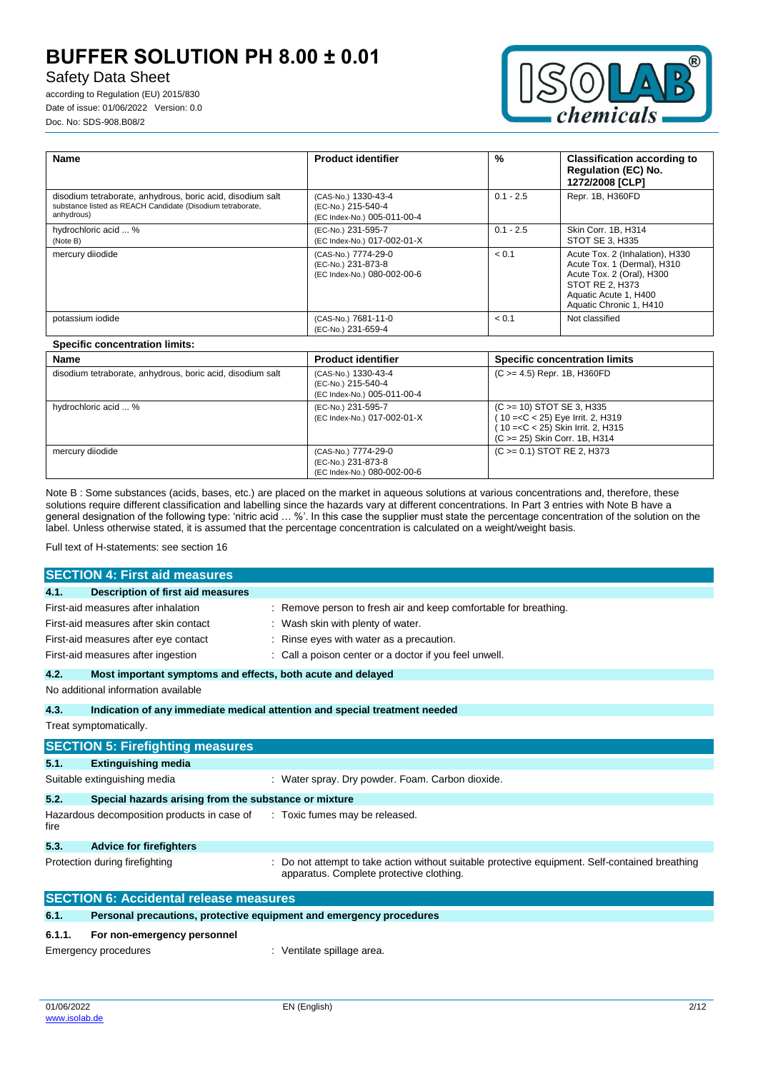# Safety Data Sheet

according to Regulation (EU) 2015/830 Date of issue: 01/06/2022 Version: 0.0 Doc. No: SDS-908.B08/2



| Name                                                                                                                                   | <b>Product identifier</b>                                                | $\%$        | <b>Classification according to</b><br><b>Regulation (EC) No.</b><br>1272/2008 [CLP]                                                                                |
|----------------------------------------------------------------------------------------------------------------------------------------|--------------------------------------------------------------------------|-------------|--------------------------------------------------------------------------------------------------------------------------------------------------------------------|
| disodium tetraborate, anhydrous, boric acid, disodium salt<br>substance listed as REACH Candidate (Disodium tetraborate,<br>anhydrous) | (CAS-No.) 1330-43-4<br>(EC-No.) 215-540-4<br>(EC Index-No.) 005-011-00-4 | $0.1 - 2.5$ | Repr. 1B, H360FD                                                                                                                                                   |
| hydrochloric acid  %<br>(Note B)                                                                                                       | (EC-No.) 231-595-7<br>(EC Index-No.) 017-002-01-X                        | $0.1 - 2.5$ | Skin Corr. 1B, H314<br>STOT SE 3. H335                                                                                                                             |
| mercury diiodide                                                                                                                       | (CAS-No.) 7774-29-0<br>(EC-No.) 231-873-8<br>(EC Index-No.) 080-002-00-6 | < 0.1       | Acute Tox. 2 (Inhalation), H330<br>Acute Tox. 1 (Dermal), H310<br>Acute Tox. 2 (Oral), H300<br>STOT RE 2. H373<br>Aquatic Acute 1, H400<br>Aquatic Chronic 1, H410 |
| potassium iodide                                                                                                                       | (CAS-No.) 7681-11-0<br>(EC-No.) 231-659-4                                | < 0.1       | Not classified                                                                                                                                                     |

## **Specific concentration limits:**

| <b>Name</b>                                                | <b>Product identifier</b>                                                | <b>Specific concentration limits</b>                                                                                                      |
|------------------------------------------------------------|--------------------------------------------------------------------------|-------------------------------------------------------------------------------------------------------------------------------------------|
| disodium tetraborate, anhydrous, boric acid, disodium salt | (CAS-No.) 1330-43-4<br>(EC-No.) 215-540-4<br>(EC Index-No.) 005-011-00-4 | $(C \ge 4.5)$ Repr. 1B, H360FD                                                                                                            |
| hydrochloric acid  %                                       | (EC-No.) 231-595-7<br>(EC Index-No.) 017-002-01-X                        | $(C \ge 10)$ STOT SE 3, H335<br>(10 =< C < 25) Eye Irrit. 2, H319<br>10 = < C < 25) Skin Irrit. 2, H315<br>(C > = 25) Skin Corr. 1B, H314 |
| mercury diiodide                                           | (CAS-No.) 7774-29-0<br>(EC-No.) 231-873-8<br>(EC Index-No.) 080-002-00-6 | $(C \ge 0.1)$ STOT RE 2, H373                                                                                                             |

Note B : Some substances (acids, bases, etc.) are placed on the market in aqueous solutions at various concentrations and, therefore, these solutions require different classification and labelling since the hazards vary at different concentrations. In Part 3 entries with Note B have a general designation of the following type: 'nitric acid … %'. In this case the supplier must state the percentage concentration of the solution on the label. Unless otherwise stated, it is assumed that the percentage concentration is calculated on a weight/weight basis.

Full text of H-statements: see section 16

|        | <b>SECTION 4: First aid measures</b>                                                                                                                       |                                                                                                                                                                                                         |
|--------|------------------------------------------------------------------------------------------------------------------------------------------------------------|---------------------------------------------------------------------------------------------------------------------------------------------------------------------------------------------------------|
| 4.1.   | Description of first aid measures                                                                                                                          |                                                                                                                                                                                                         |
|        | First-aid measures after inhalation<br>First-aid measures after skin contact<br>First-aid measures after eye contact<br>First-aid measures after ingestion | Remove person to fresh air and keep comfortable for breathing.<br>: Wash skin with plenty of water.<br>Rinse eyes with water as a precaution.<br>: Call a poison center or a doctor if you feel unwell. |
| 4.2.   | Most important symptoms and effects, both acute and delayed                                                                                                |                                                                                                                                                                                                         |
|        | No additional information available                                                                                                                        |                                                                                                                                                                                                         |
| 4.3.   |                                                                                                                                                            | Indication of any immediate medical attention and special treatment needed                                                                                                                              |
|        | Treat symptomatically.                                                                                                                                     |                                                                                                                                                                                                         |
|        | <b>SECTION 5: Firefighting measures</b>                                                                                                                    |                                                                                                                                                                                                         |
| 5.1.   | <b>Extinguishing media</b>                                                                                                                                 |                                                                                                                                                                                                         |
|        | Suitable extinguishing media                                                                                                                               | : Water spray. Dry powder. Foam. Carbon dioxide.                                                                                                                                                        |
| 5.2.   | Special hazards arising from the substance or mixture                                                                                                      |                                                                                                                                                                                                         |
| fire   | Hazardous decomposition products in case of                                                                                                                | : Toxic fumes may be released.                                                                                                                                                                          |
| 5.3.   | <b>Advice for firefighters</b>                                                                                                                             |                                                                                                                                                                                                         |
|        | Protection during firefighting                                                                                                                             | Do not attempt to take action without suitable protective equipment. Self-contained breathing<br>apparatus. Complete protective clothing.                                                               |
|        | <b>SECTION 6: Accidental release measures</b>                                                                                                              |                                                                                                                                                                                                         |
| 6.1.   | Personal precautions, protective equipment and emergency procedures                                                                                        |                                                                                                                                                                                                         |
| 6.1.1. | For non-emergency personnel                                                                                                                                |                                                                                                                                                                                                         |

Emergency procedures in the spillage area.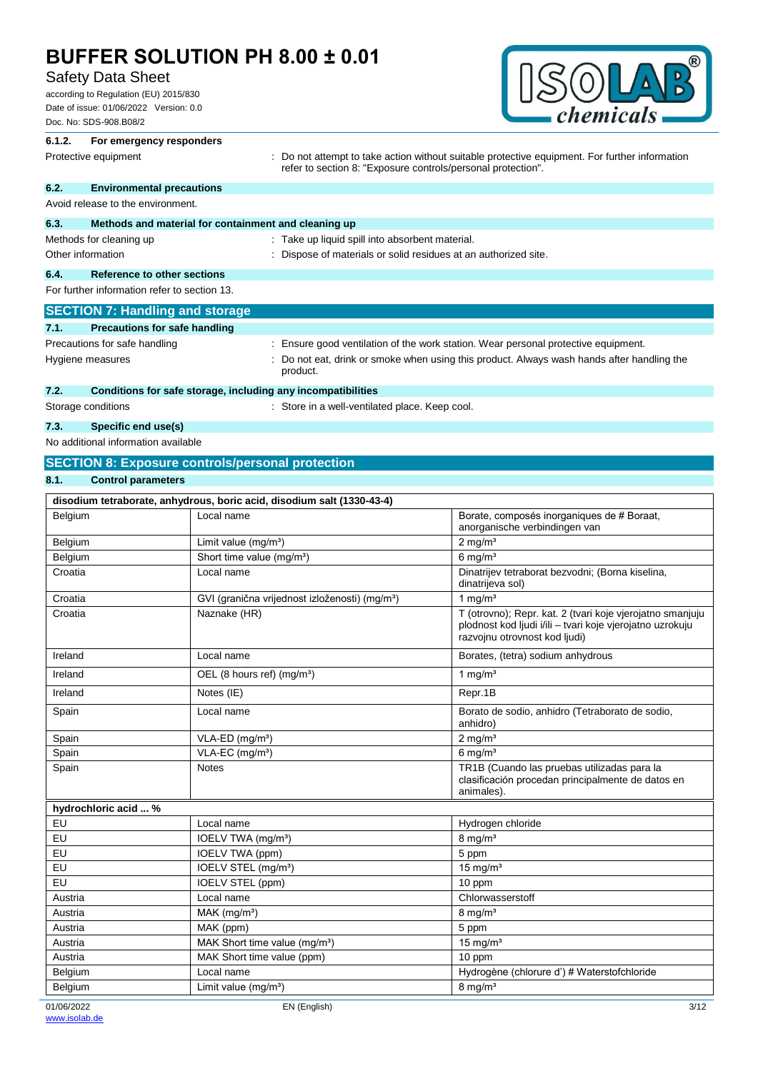# Safety Data Sheet

according to Regulation (EU) 2015/830 Date of issue: 01/06/2022 Version: 0.0 Doc. No: SDS-908.B08/2



## **6.1.2. For emergency responders** Protective equipment **interprotective** contraction without suitable protective equipment. For further information refer to section 8: "Exposure controls/personal protection". **6.2. Environmental precautions** Avoid release to the environment.

product.

| 6.3.                                         | Methods and material for containment and cleaning up |                                                                                  |
|----------------------------------------------|------------------------------------------------------|----------------------------------------------------------------------------------|
|                                              | Methods for cleaning up                              | : Take up liquid spill into absorbent material.                                  |
|                                              | Other information                                    | : Dispose of materials or solid residues at an authorized site.                  |
| 6.4.                                         | Reference to other sections                          |                                                                                  |
| For further information refer to section 13. |                                                      |                                                                                  |
|                                              | <b>SECTION 7: Handling and storage</b>               |                                                                                  |
| 7.1.                                         | <b>Precautions for safe handling</b>                 |                                                                                  |
| Precautions for safe handling                |                                                      | Ensure good ventilation of the work station. Wear personal protective equipment. |

Hygiene measures **included in the state of the state of the state of the state of the state of the state of the state of the state of the state of the state of the state of the state of the state of the state of the state** 

# **7.2. Conditions for safe storage, including any incompatibilities**

Storage conditions **Storage conditions** : Store in a well-ventilated place. Keep cool.

## **7.3. Specific end use(s)**

No additional information available

## **SECTION 8: Exposure controls/personal protection**

| <b>Control parameters</b><br>8.1. |
|-----------------------------------|
|-----------------------------------|

|                      | disodium tetraborate, anhydrous, boric acid, disodium salt (1330-43-4) |                                                                                                                                                         |
|----------------------|------------------------------------------------------------------------|---------------------------------------------------------------------------------------------------------------------------------------------------------|
| Belgium              | Local name                                                             | Borate, composés inorganiques de # Boraat,<br>anorganische verbindingen van                                                                             |
| Belgium              | Limit value (mg/m <sup>3</sup> )                                       | $2$ mg/m <sup>3</sup>                                                                                                                                   |
| Belgium              | Short time value (mg/m <sup>3</sup> )                                  | $6 \text{ mg/m}^3$                                                                                                                                      |
| Croatia              | Local name                                                             | Dinatrijev tetraborat bezvodni; (Borna kiselina,<br>dinatrijeva sol)                                                                                    |
| Croatia              | GVI (granična vrijednost izloženosti) (mg/m <sup>3</sup> )             | 1 mg/ $m3$                                                                                                                                              |
| Croatia              | Naznake (HR)                                                           | T (otrovno); Repr. kat. 2 (tvari koje vjerojatno smanjuju<br>plodnost kod ljudi i/ili - tvari koje vjerojatno uzrokuju<br>razvojnu otrovnost kod ljudi) |
| Ireland              | Local name                                                             | Borates, (tetra) sodium anhydrous                                                                                                                       |
| Ireland              | OEL (8 hours ref) $(mg/m3)$                                            | 1 mg/ $m3$                                                                                                                                              |
| Ireland              | Notes (IE)                                                             | Repr.1B                                                                                                                                                 |
| Spain                | Local name                                                             | Borato de sodio, anhidro (Tetraborato de sodio,<br>anhidro)                                                                                             |
| Spain                | $VLA-ED$ (mg/m <sup>3</sup> )                                          | $2$ mg/m <sup>3</sup>                                                                                                                                   |
| Spain                | VLA-EC (mg/m <sup>3</sup> )                                            | $6 \text{ mg/m}^3$                                                                                                                                      |
| Spain                | <b>Notes</b>                                                           | TR1B (Cuando las pruebas utilizadas para la<br>clasificación procedan principalmente de datos en<br>animales).                                          |
| hydrochloric acid  % |                                                                        |                                                                                                                                                         |
| EU                   | Local name                                                             | Hydrogen chloride                                                                                                                                       |
| EU                   | IOELV TWA (mg/m <sup>3</sup> )                                         | $8$ mg/m <sup>3</sup>                                                                                                                                   |
| EU                   | IOELV TWA (ppm)                                                        | 5 ppm                                                                                                                                                   |
| EU                   | IOELV STEL (mg/m <sup>3</sup> )                                        | $15 \text{ mg/m}^3$                                                                                                                                     |
| EU                   | <b>IOELV STEL (ppm)</b>                                                | 10 ppm                                                                                                                                                  |
| Austria              | Local name                                                             | Chlorwasserstoff                                                                                                                                        |
| Austria              | $MAK$ (mg/m <sup>3</sup> )                                             | $8 \text{ mg/m}^3$                                                                                                                                      |
| Austria              | MAK (ppm)                                                              | 5 ppm                                                                                                                                                   |
| Austria              | MAK Short time value (mq/m <sup>3</sup> )                              | $15$ mg/m <sup>3</sup>                                                                                                                                  |
| Austria              | MAK Short time value (ppm)                                             | 10 ppm                                                                                                                                                  |
| Belgium              | Local name                                                             | Hydrogène (chlorure d') # Waterstofchloride                                                                                                             |
| Belgium              | Limit value $(mg/m3)$                                                  | $8$ mg/m <sup>3</sup>                                                                                                                                   |
| 01/06/2022           | EN (English)                                                           | 3/12                                                                                                                                                    |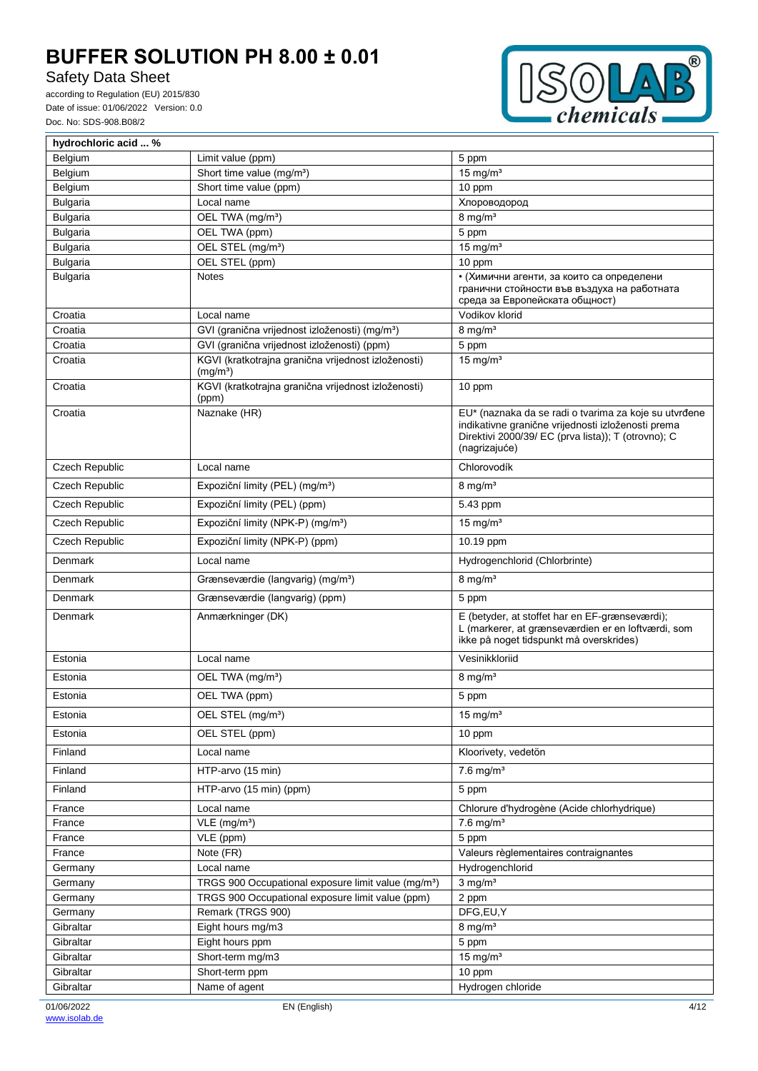# Safety Data Sheet



| Belgium<br>Limit value (ppm)<br>5 ppm<br>Belgium<br>Short time value (mg/m <sup>3</sup> )<br>15 mg/ $m3$<br>Belgium<br>Short time value (ppm)<br>10 ppm<br><b>Bulgaria</b><br>Local name<br>Хлороводород<br>$8 \text{ mg/m}^3$<br><b>Bulgaria</b><br>OEL TWA (mg/m <sup>3</sup> )<br>OEL TWA (ppm)<br><b>Bulgaria</b><br>5 ppm<br>$15$ mg/m <sup>3</sup><br>OEL STEL (mg/m <sup>3</sup> )<br><b>Bulgaria</b><br>Bulgaria<br>OEL STEL (ppm)<br>10 ppm<br><b>Bulgaria</b><br><b>Notes</b><br>• (Химични агенти, за които са определени<br>гранични стойности във въздуха на работната<br>среда за Европейската общност)<br>Vodikov klorid<br>Croatia<br>Local name<br>GVI (granična vrijednost izloženosti) (mg/m <sup>3</sup> )<br>$8$ mg/m <sup>3</sup><br>Croatia<br>GVI (granična vrijednost izloženosti) (ppm)<br>Croatia<br>5 ppm<br>KGVI (kratkotrajna granična vrijednost izloženosti)<br>15 mg/ $m3$<br>Croatia<br>(mg/m <sup>3</sup> )<br>KGVI (kratkotrajna granična vrijednost izloženosti)<br>Croatia<br>10 ppm<br>(ppm)<br>EU* (naznaka da se radi o tvarima za koje su utvrđene<br>Naznake (HR)<br>Croatia<br>indikativne granične vrijednosti izloženosti prema<br>Direktivi 2000/39/ EC (prva lista)); T (otrovno); C<br>(nagrizajuće)<br><b>Czech Republic</b><br>Chlorovodík<br>Local name<br>Czech Republic<br>Expoziční limity (PEL) (mg/m <sup>3</sup> )<br>$8$ mg/m <sup>3</sup><br>Czech Republic<br>Expoziční limity (PEL) (ppm)<br>5.43 ppm<br>Czech Republic<br>Expoziční limity (NPK-P) (mg/m <sup>3</sup> )<br>15 mg/ $m3$<br>Czech Republic<br>Expoziční limity (NPK-P) (ppm)<br>10.19 ppm<br>Denmark<br>Hydrogenchlorid (Chlorbrinte)<br>Local name<br>$8 \text{ mg/m}^3$<br>Grænseværdie (langvarig) (mg/m <sup>3</sup> )<br>Denmark<br>Denmark<br>Grænseværdie (langvarig) (ppm)<br>5 ppm<br>E (betyder, at stoffet har en EF-grænseværdi);<br>Denmark<br>Anmærkninger (DK)<br>L (markerer, at grænseværdien er en loftværdi, som<br>ikke på noget tidspunkt må overskrides)<br>Vesinikkloriid<br>Estonia<br>Local name<br>$8$ mg/m <sup>3</sup><br>Estonia<br>OEL TWA (mg/m <sup>3</sup> )<br>OEL TWA (ppm)<br>5 ppm<br>Estonia<br>Estonia<br>OEL STEL (mg/m <sup>3</sup> )<br>15 mg/m <sup>3</sup><br>Estonia<br>10 ppm<br>OEL STEL (ppm)<br>Finland<br>Local name<br>Kloorivety, vedetön<br>$7.6$ mg/m <sup>3</sup><br>Finland<br>HTP-arvo (15 min)<br>Finland<br>HTP-arvo (15 min) (ppm)<br>5 ppm<br>France<br>Local name<br>Chlorure d'hydrogène (Acide chlorhydrique)<br>$7.6$ mg/m <sup>3</sup><br>VLE (mg/m <sup>3</sup> )<br>France<br>VLE (ppm)<br>France<br>5 ppm<br>Note (FR)<br>Valeurs règlementaires contraignantes<br>France<br>Hydrogenchlorid<br>Local name<br>Germany<br>TRGS 900 Occupational exposure limit value (mg/m <sup>3</sup> )<br>$3$ mg/m <sup>3</sup><br>Germany<br>TRGS 900 Occupational exposure limit value (ppm)<br>2 ppm<br>Germany<br>Remark (TRGS 900)<br>DFG,EU,Y<br>Germany<br>$8$ mg/m <sup>3</sup><br>Eight hours mg/m3<br>Gibraltar<br>Gibraltar<br>Eight hours ppm<br>5 ppm<br>$15$ mg/m <sup>3</sup><br>Short-term mg/m3<br>Gibraltar<br>10 ppm<br>Gibraltar<br>Short-term ppm<br>Gibraltar<br>Name of agent<br>Hydrogen chloride | hydrochloric acid  % |  |
|---------------------------------------------------------------------------------------------------------------------------------------------------------------------------------------------------------------------------------------------------------------------------------------------------------------------------------------------------------------------------------------------------------------------------------------------------------------------------------------------------------------------------------------------------------------------------------------------------------------------------------------------------------------------------------------------------------------------------------------------------------------------------------------------------------------------------------------------------------------------------------------------------------------------------------------------------------------------------------------------------------------------------------------------------------------------------------------------------------------------------------------------------------------------------------------------------------------------------------------------------------------------------------------------------------------------------------------------------------------------------------------------------------------------------------------------------------------------------------------------------------------------------------------------------------------------------------------------------------------------------------------------------------------------------------------------------------------------------------------------------------------------------------------------------------------------------------------------------------------------------------------------------------------------------------------------------------------------------------------------------------------------------------------------------------------------------------------------------------------------------------------------------------------------------------------------------------------------------------------------------------------------------------------------------------------------------------------------------------------------------------------------------------------------------------------------------------------------------------------------------------------------------------------------------------------------------------------------------------------------------------------------------------------------------------------------------------------------------------------------------------------------------------------------------------------------------------------------------------------------------------------------------------------------------------------------------------------------------------------------------------------------------------------------------------------------------------------------------------------------------------------------------------------------------------------------------------------|----------------------|--|
|                                                                                                                                                                                                                                                                                                                                                                                                                                                                                                                                                                                                                                                                                                                                                                                                                                                                                                                                                                                                                                                                                                                                                                                                                                                                                                                                                                                                                                                                                                                                                                                                                                                                                                                                                                                                                                                                                                                                                                                                                                                                                                                                                                                                                                                                                                                                                                                                                                                                                                                                                                                                                                                                                                                                                                                                                                                                                                                                                                                                                                                                                                                                                                                                               |                      |  |
|                                                                                                                                                                                                                                                                                                                                                                                                                                                                                                                                                                                                                                                                                                                                                                                                                                                                                                                                                                                                                                                                                                                                                                                                                                                                                                                                                                                                                                                                                                                                                                                                                                                                                                                                                                                                                                                                                                                                                                                                                                                                                                                                                                                                                                                                                                                                                                                                                                                                                                                                                                                                                                                                                                                                                                                                                                                                                                                                                                                                                                                                                                                                                                                                               |                      |  |
|                                                                                                                                                                                                                                                                                                                                                                                                                                                                                                                                                                                                                                                                                                                                                                                                                                                                                                                                                                                                                                                                                                                                                                                                                                                                                                                                                                                                                                                                                                                                                                                                                                                                                                                                                                                                                                                                                                                                                                                                                                                                                                                                                                                                                                                                                                                                                                                                                                                                                                                                                                                                                                                                                                                                                                                                                                                                                                                                                                                                                                                                                                                                                                                                               |                      |  |
|                                                                                                                                                                                                                                                                                                                                                                                                                                                                                                                                                                                                                                                                                                                                                                                                                                                                                                                                                                                                                                                                                                                                                                                                                                                                                                                                                                                                                                                                                                                                                                                                                                                                                                                                                                                                                                                                                                                                                                                                                                                                                                                                                                                                                                                                                                                                                                                                                                                                                                                                                                                                                                                                                                                                                                                                                                                                                                                                                                                                                                                                                                                                                                                                               |                      |  |
|                                                                                                                                                                                                                                                                                                                                                                                                                                                                                                                                                                                                                                                                                                                                                                                                                                                                                                                                                                                                                                                                                                                                                                                                                                                                                                                                                                                                                                                                                                                                                                                                                                                                                                                                                                                                                                                                                                                                                                                                                                                                                                                                                                                                                                                                                                                                                                                                                                                                                                                                                                                                                                                                                                                                                                                                                                                                                                                                                                                                                                                                                                                                                                                                               |                      |  |
|                                                                                                                                                                                                                                                                                                                                                                                                                                                                                                                                                                                                                                                                                                                                                                                                                                                                                                                                                                                                                                                                                                                                                                                                                                                                                                                                                                                                                                                                                                                                                                                                                                                                                                                                                                                                                                                                                                                                                                                                                                                                                                                                                                                                                                                                                                                                                                                                                                                                                                                                                                                                                                                                                                                                                                                                                                                                                                                                                                                                                                                                                                                                                                                                               |                      |  |
|                                                                                                                                                                                                                                                                                                                                                                                                                                                                                                                                                                                                                                                                                                                                                                                                                                                                                                                                                                                                                                                                                                                                                                                                                                                                                                                                                                                                                                                                                                                                                                                                                                                                                                                                                                                                                                                                                                                                                                                                                                                                                                                                                                                                                                                                                                                                                                                                                                                                                                                                                                                                                                                                                                                                                                                                                                                                                                                                                                                                                                                                                                                                                                                                               |                      |  |
|                                                                                                                                                                                                                                                                                                                                                                                                                                                                                                                                                                                                                                                                                                                                                                                                                                                                                                                                                                                                                                                                                                                                                                                                                                                                                                                                                                                                                                                                                                                                                                                                                                                                                                                                                                                                                                                                                                                                                                                                                                                                                                                                                                                                                                                                                                                                                                                                                                                                                                                                                                                                                                                                                                                                                                                                                                                                                                                                                                                                                                                                                                                                                                                                               |                      |  |
|                                                                                                                                                                                                                                                                                                                                                                                                                                                                                                                                                                                                                                                                                                                                                                                                                                                                                                                                                                                                                                                                                                                                                                                                                                                                                                                                                                                                                                                                                                                                                                                                                                                                                                                                                                                                                                                                                                                                                                                                                                                                                                                                                                                                                                                                                                                                                                                                                                                                                                                                                                                                                                                                                                                                                                                                                                                                                                                                                                                                                                                                                                                                                                                                               |                      |  |
|                                                                                                                                                                                                                                                                                                                                                                                                                                                                                                                                                                                                                                                                                                                                                                                                                                                                                                                                                                                                                                                                                                                                                                                                                                                                                                                                                                                                                                                                                                                                                                                                                                                                                                                                                                                                                                                                                                                                                                                                                                                                                                                                                                                                                                                                                                                                                                                                                                                                                                                                                                                                                                                                                                                                                                                                                                                                                                                                                                                                                                                                                                                                                                                                               |                      |  |
|                                                                                                                                                                                                                                                                                                                                                                                                                                                                                                                                                                                                                                                                                                                                                                                                                                                                                                                                                                                                                                                                                                                                                                                                                                                                                                                                                                                                                                                                                                                                                                                                                                                                                                                                                                                                                                                                                                                                                                                                                                                                                                                                                                                                                                                                                                                                                                                                                                                                                                                                                                                                                                                                                                                                                                                                                                                                                                                                                                                                                                                                                                                                                                                                               |                      |  |
|                                                                                                                                                                                                                                                                                                                                                                                                                                                                                                                                                                                                                                                                                                                                                                                                                                                                                                                                                                                                                                                                                                                                                                                                                                                                                                                                                                                                                                                                                                                                                                                                                                                                                                                                                                                                                                                                                                                                                                                                                                                                                                                                                                                                                                                                                                                                                                                                                                                                                                                                                                                                                                                                                                                                                                                                                                                                                                                                                                                                                                                                                                                                                                                                               |                      |  |
|                                                                                                                                                                                                                                                                                                                                                                                                                                                                                                                                                                                                                                                                                                                                                                                                                                                                                                                                                                                                                                                                                                                                                                                                                                                                                                                                                                                                                                                                                                                                                                                                                                                                                                                                                                                                                                                                                                                                                                                                                                                                                                                                                                                                                                                                                                                                                                                                                                                                                                                                                                                                                                                                                                                                                                                                                                                                                                                                                                                                                                                                                                                                                                                                               |                      |  |
|                                                                                                                                                                                                                                                                                                                                                                                                                                                                                                                                                                                                                                                                                                                                                                                                                                                                                                                                                                                                                                                                                                                                                                                                                                                                                                                                                                                                                                                                                                                                                                                                                                                                                                                                                                                                                                                                                                                                                                                                                                                                                                                                                                                                                                                                                                                                                                                                                                                                                                                                                                                                                                                                                                                                                                                                                                                                                                                                                                                                                                                                                                                                                                                                               |                      |  |
|                                                                                                                                                                                                                                                                                                                                                                                                                                                                                                                                                                                                                                                                                                                                                                                                                                                                                                                                                                                                                                                                                                                                                                                                                                                                                                                                                                                                                                                                                                                                                                                                                                                                                                                                                                                                                                                                                                                                                                                                                                                                                                                                                                                                                                                                                                                                                                                                                                                                                                                                                                                                                                                                                                                                                                                                                                                                                                                                                                                                                                                                                                                                                                                                               |                      |  |
|                                                                                                                                                                                                                                                                                                                                                                                                                                                                                                                                                                                                                                                                                                                                                                                                                                                                                                                                                                                                                                                                                                                                                                                                                                                                                                                                                                                                                                                                                                                                                                                                                                                                                                                                                                                                                                                                                                                                                                                                                                                                                                                                                                                                                                                                                                                                                                                                                                                                                                                                                                                                                                                                                                                                                                                                                                                                                                                                                                                                                                                                                                                                                                                                               |                      |  |
|                                                                                                                                                                                                                                                                                                                                                                                                                                                                                                                                                                                                                                                                                                                                                                                                                                                                                                                                                                                                                                                                                                                                                                                                                                                                                                                                                                                                                                                                                                                                                                                                                                                                                                                                                                                                                                                                                                                                                                                                                                                                                                                                                                                                                                                                                                                                                                                                                                                                                                                                                                                                                                                                                                                                                                                                                                                                                                                                                                                                                                                                                                                                                                                                               |                      |  |
|                                                                                                                                                                                                                                                                                                                                                                                                                                                                                                                                                                                                                                                                                                                                                                                                                                                                                                                                                                                                                                                                                                                                                                                                                                                                                                                                                                                                                                                                                                                                                                                                                                                                                                                                                                                                                                                                                                                                                                                                                                                                                                                                                                                                                                                                                                                                                                                                                                                                                                                                                                                                                                                                                                                                                                                                                                                                                                                                                                                                                                                                                                                                                                                                               |                      |  |
|                                                                                                                                                                                                                                                                                                                                                                                                                                                                                                                                                                                                                                                                                                                                                                                                                                                                                                                                                                                                                                                                                                                                                                                                                                                                                                                                                                                                                                                                                                                                                                                                                                                                                                                                                                                                                                                                                                                                                                                                                                                                                                                                                                                                                                                                                                                                                                                                                                                                                                                                                                                                                                                                                                                                                                                                                                                                                                                                                                                                                                                                                                                                                                                                               |                      |  |
|                                                                                                                                                                                                                                                                                                                                                                                                                                                                                                                                                                                                                                                                                                                                                                                                                                                                                                                                                                                                                                                                                                                                                                                                                                                                                                                                                                                                                                                                                                                                                                                                                                                                                                                                                                                                                                                                                                                                                                                                                                                                                                                                                                                                                                                                                                                                                                                                                                                                                                                                                                                                                                                                                                                                                                                                                                                                                                                                                                                                                                                                                                                                                                                                               |                      |  |
|                                                                                                                                                                                                                                                                                                                                                                                                                                                                                                                                                                                                                                                                                                                                                                                                                                                                                                                                                                                                                                                                                                                                                                                                                                                                                                                                                                                                                                                                                                                                                                                                                                                                                                                                                                                                                                                                                                                                                                                                                                                                                                                                                                                                                                                                                                                                                                                                                                                                                                                                                                                                                                                                                                                                                                                                                                                                                                                                                                                                                                                                                                                                                                                                               |                      |  |
|                                                                                                                                                                                                                                                                                                                                                                                                                                                                                                                                                                                                                                                                                                                                                                                                                                                                                                                                                                                                                                                                                                                                                                                                                                                                                                                                                                                                                                                                                                                                                                                                                                                                                                                                                                                                                                                                                                                                                                                                                                                                                                                                                                                                                                                                                                                                                                                                                                                                                                                                                                                                                                                                                                                                                                                                                                                                                                                                                                                                                                                                                                                                                                                                               |                      |  |
|                                                                                                                                                                                                                                                                                                                                                                                                                                                                                                                                                                                                                                                                                                                                                                                                                                                                                                                                                                                                                                                                                                                                                                                                                                                                                                                                                                                                                                                                                                                                                                                                                                                                                                                                                                                                                                                                                                                                                                                                                                                                                                                                                                                                                                                                                                                                                                                                                                                                                                                                                                                                                                                                                                                                                                                                                                                                                                                                                                                                                                                                                                                                                                                                               |                      |  |
|                                                                                                                                                                                                                                                                                                                                                                                                                                                                                                                                                                                                                                                                                                                                                                                                                                                                                                                                                                                                                                                                                                                                                                                                                                                                                                                                                                                                                                                                                                                                                                                                                                                                                                                                                                                                                                                                                                                                                                                                                                                                                                                                                                                                                                                                                                                                                                                                                                                                                                                                                                                                                                                                                                                                                                                                                                                                                                                                                                                                                                                                                                                                                                                                               |                      |  |
|                                                                                                                                                                                                                                                                                                                                                                                                                                                                                                                                                                                                                                                                                                                                                                                                                                                                                                                                                                                                                                                                                                                                                                                                                                                                                                                                                                                                                                                                                                                                                                                                                                                                                                                                                                                                                                                                                                                                                                                                                                                                                                                                                                                                                                                                                                                                                                                                                                                                                                                                                                                                                                                                                                                                                                                                                                                                                                                                                                                                                                                                                                                                                                                                               |                      |  |
|                                                                                                                                                                                                                                                                                                                                                                                                                                                                                                                                                                                                                                                                                                                                                                                                                                                                                                                                                                                                                                                                                                                                                                                                                                                                                                                                                                                                                                                                                                                                                                                                                                                                                                                                                                                                                                                                                                                                                                                                                                                                                                                                                                                                                                                                                                                                                                                                                                                                                                                                                                                                                                                                                                                                                                                                                                                                                                                                                                                                                                                                                                                                                                                                               |                      |  |
|                                                                                                                                                                                                                                                                                                                                                                                                                                                                                                                                                                                                                                                                                                                                                                                                                                                                                                                                                                                                                                                                                                                                                                                                                                                                                                                                                                                                                                                                                                                                                                                                                                                                                                                                                                                                                                                                                                                                                                                                                                                                                                                                                                                                                                                                                                                                                                                                                                                                                                                                                                                                                                                                                                                                                                                                                                                                                                                                                                                                                                                                                                                                                                                                               |                      |  |
|                                                                                                                                                                                                                                                                                                                                                                                                                                                                                                                                                                                                                                                                                                                                                                                                                                                                                                                                                                                                                                                                                                                                                                                                                                                                                                                                                                                                                                                                                                                                                                                                                                                                                                                                                                                                                                                                                                                                                                                                                                                                                                                                                                                                                                                                                                                                                                                                                                                                                                                                                                                                                                                                                                                                                                                                                                                                                                                                                                                                                                                                                                                                                                                                               |                      |  |
|                                                                                                                                                                                                                                                                                                                                                                                                                                                                                                                                                                                                                                                                                                                                                                                                                                                                                                                                                                                                                                                                                                                                                                                                                                                                                                                                                                                                                                                                                                                                                                                                                                                                                                                                                                                                                                                                                                                                                                                                                                                                                                                                                                                                                                                                                                                                                                                                                                                                                                                                                                                                                                                                                                                                                                                                                                                                                                                                                                                                                                                                                                                                                                                                               |                      |  |
|                                                                                                                                                                                                                                                                                                                                                                                                                                                                                                                                                                                                                                                                                                                                                                                                                                                                                                                                                                                                                                                                                                                                                                                                                                                                                                                                                                                                                                                                                                                                                                                                                                                                                                                                                                                                                                                                                                                                                                                                                                                                                                                                                                                                                                                                                                                                                                                                                                                                                                                                                                                                                                                                                                                                                                                                                                                                                                                                                                                                                                                                                                                                                                                                               |                      |  |
|                                                                                                                                                                                                                                                                                                                                                                                                                                                                                                                                                                                                                                                                                                                                                                                                                                                                                                                                                                                                                                                                                                                                                                                                                                                                                                                                                                                                                                                                                                                                                                                                                                                                                                                                                                                                                                                                                                                                                                                                                                                                                                                                                                                                                                                                                                                                                                                                                                                                                                                                                                                                                                                                                                                                                                                                                                                                                                                                                                                                                                                                                                                                                                                                               |                      |  |
|                                                                                                                                                                                                                                                                                                                                                                                                                                                                                                                                                                                                                                                                                                                                                                                                                                                                                                                                                                                                                                                                                                                                                                                                                                                                                                                                                                                                                                                                                                                                                                                                                                                                                                                                                                                                                                                                                                                                                                                                                                                                                                                                                                                                                                                                                                                                                                                                                                                                                                                                                                                                                                                                                                                                                                                                                                                                                                                                                                                                                                                                                                                                                                                                               |                      |  |
|                                                                                                                                                                                                                                                                                                                                                                                                                                                                                                                                                                                                                                                                                                                                                                                                                                                                                                                                                                                                                                                                                                                                                                                                                                                                                                                                                                                                                                                                                                                                                                                                                                                                                                                                                                                                                                                                                                                                                                                                                                                                                                                                                                                                                                                                                                                                                                                                                                                                                                                                                                                                                                                                                                                                                                                                                                                                                                                                                                                                                                                                                                                                                                                                               |                      |  |
|                                                                                                                                                                                                                                                                                                                                                                                                                                                                                                                                                                                                                                                                                                                                                                                                                                                                                                                                                                                                                                                                                                                                                                                                                                                                                                                                                                                                                                                                                                                                                                                                                                                                                                                                                                                                                                                                                                                                                                                                                                                                                                                                                                                                                                                                                                                                                                                                                                                                                                                                                                                                                                                                                                                                                                                                                                                                                                                                                                                                                                                                                                                                                                                                               |                      |  |
|                                                                                                                                                                                                                                                                                                                                                                                                                                                                                                                                                                                                                                                                                                                                                                                                                                                                                                                                                                                                                                                                                                                                                                                                                                                                                                                                                                                                                                                                                                                                                                                                                                                                                                                                                                                                                                                                                                                                                                                                                                                                                                                                                                                                                                                                                                                                                                                                                                                                                                                                                                                                                                                                                                                                                                                                                                                                                                                                                                                                                                                                                                                                                                                                               |                      |  |
|                                                                                                                                                                                                                                                                                                                                                                                                                                                                                                                                                                                                                                                                                                                                                                                                                                                                                                                                                                                                                                                                                                                                                                                                                                                                                                                                                                                                                                                                                                                                                                                                                                                                                                                                                                                                                                                                                                                                                                                                                                                                                                                                                                                                                                                                                                                                                                                                                                                                                                                                                                                                                                                                                                                                                                                                                                                                                                                                                                                                                                                                                                                                                                                                               |                      |  |
|                                                                                                                                                                                                                                                                                                                                                                                                                                                                                                                                                                                                                                                                                                                                                                                                                                                                                                                                                                                                                                                                                                                                                                                                                                                                                                                                                                                                                                                                                                                                                                                                                                                                                                                                                                                                                                                                                                                                                                                                                                                                                                                                                                                                                                                                                                                                                                                                                                                                                                                                                                                                                                                                                                                                                                                                                                                                                                                                                                                                                                                                                                                                                                                                               |                      |  |
|                                                                                                                                                                                                                                                                                                                                                                                                                                                                                                                                                                                                                                                                                                                                                                                                                                                                                                                                                                                                                                                                                                                                                                                                                                                                                                                                                                                                                                                                                                                                                                                                                                                                                                                                                                                                                                                                                                                                                                                                                                                                                                                                                                                                                                                                                                                                                                                                                                                                                                                                                                                                                                                                                                                                                                                                                                                                                                                                                                                                                                                                                                                                                                                                               |                      |  |
|                                                                                                                                                                                                                                                                                                                                                                                                                                                                                                                                                                                                                                                                                                                                                                                                                                                                                                                                                                                                                                                                                                                                                                                                                                                                                                                                                                                                                                                                                                                                                                                                                                                                                                                                                                                                                                                                                                                                                                                                                                                                                                                                                                                                                                                                                                                                                                                                                                                                                                                                                                                                                                                                                                                                                                                                                                                                                                                                                                                                                                                                                                                                                                                                               |                      |  |
|                                                                                                                                                                                                                                                                                                                                                                                                                                                                                                                                                                                                                                                                                                                                                                                                                                                                                                                                                                                                                                                                                                                                                                                                                                                                                                                                                                                                                                                                                                                                                                                                                                                                                                                                                                                                                                                                                                                                                                                                                                                                                                                                                                                                                                                                                                                                                                                                                                                                                                                                                                                                                                                                                                                                                                                                                                                                                                                                                                                                                                                                                                                                                                                                               |                      |  |
|                                                                                                                                                                                                                                                                                                                                                                                                                                                                                                                                                                                                                                                                                                                                                                                                                                                                                                                                                                                                                                                                                                                                                                                                                                                                                                                                                                                                                                                                                                                                                                                                                                                                                                                                                                                                                                                                                                                                                                                                                                                                                                                                                                                                                                                                                                                                                                                                                                                                                                                                                                                                                                                                                                                                                                                                                                                                                                                                                                                                                                                                                                                                                                                                               |                      |  |
|                                                                                                                                                                                                                                                                                                                                                                                                                                                                                                                                                                                                                                                                                                                                                                                                                                                                                                                                                                                                                                                                                                                                                                                                                                                                                                                                                                                                                                                                                                                                                                                                                                                                                                                                                                                                                                                                                                                                                                                                                                                                                                                                                                                                                                                                                                                                                                                                                                                                                                                                                                                                                                                                                                                                                                                                                                                                                                                                                                                                                                                                                                                                                                                                               |                      |  |
|                                                                                                                                                                                                                                                                                                                                                                                                                                                                                                                                                                                                                                                                                                                                                                                                                                                                                                                                                                                                                                                                                                                                                                                                                                                                                                                                                                                                                                                                                                                                                                                                                                                                                                                                                                                                                                                                                                                                                                                                                                                                                                                                                                                                                                                                                                                                                                                                                                                                                                                                                                                                                                                                                                                                                                                                                                                                                                                                                                                                                                                                                                                                                                                                               |                      |  |
|                                                                                                                                                                                                                                                                                                                                                                                                                                                                                                                                                                                                                                                                                                                                                                                                                                                                                                                                                                                                                                                                                                                                                                                                                                                                                                                                                                                                                                                                                                                                                                                                                                                                                                                                                                                                                                                                                                                                                                                                                                                                                                                                                                                                                                                                                                                                                                                                                                                                                                                                                                                                                                                                                                                                                                                                                                                                                                                                                                                                                                                                                                                                                                                                               |                      |  |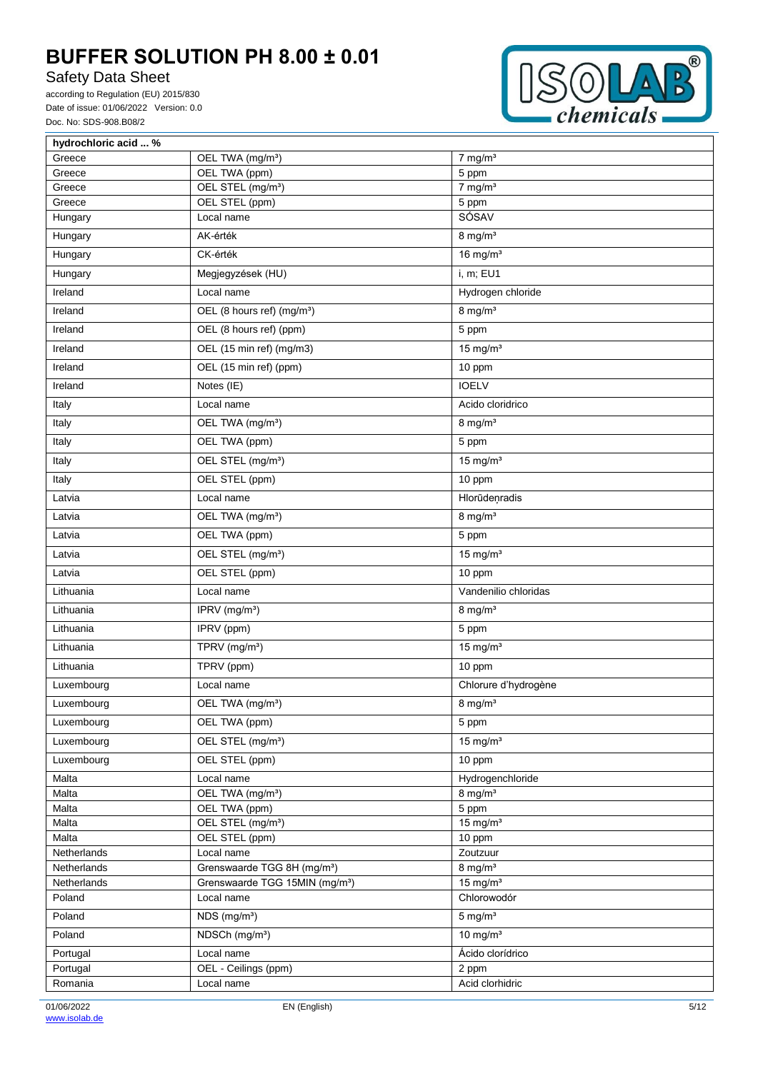# Safety Data Sheet



| hydrochloric acid  % |                                            |                        |
|----------------------|--------------------------------------------|------------------------|
| Greece               | OEL TWA (mg/m <sup>3</sup> )               | $7$ mg/m <sup>3</sup>  |
| Greece               | OEL TWA (ppm)                              | 5 ppm                  |
| Greece               | OEL STEL (mg/m <sup>3</sup> )              | $7$ mg/m <sup>3</sup>  |
| Greece               | OEL STEL (ppm)<br>Local name               | 5 ppm<br>SÓSAV         |
| Hungary              |                                            |                        |
| Hungary              | AK-érték                                   | $8$ mg/m <sup>3</sup>  |
| Hungary              | CK-érték                                   | $16$ mg/m <sup>3</sup> |
| Hungary              | Megjegyzések (HU)                          | i, m; EU1              |
| Ireland              | Local name                                 | Hydrogen chloride      |
| Ireland              | OEL (8 hours ref) (mg/m <sup>3</sup> )     | $8$ mg/m <sup>3</sup>  |
| Ireland              | OEL (8 hours ref) (ppm)                    | 5 ppm                  |
| Ireland              | OEL (15 min ref) (mg/m3)                   | $15$ mg/m <sup>3</sup> |
| Ireland              | OEL (15 min ref) (ppm)                     | 10 ppm                 |
| Ireland              | Notes (IE)                                 | <b>IOELV</b>           |
| Italy                | Local name                                 | Acido cloridrico       |
| Italy                | OEL TWA (mg/m <sup>3</sup> )               | $8 \text{ mg/m}^3$     |
| Italy                | OEL TWA (ppm)                              | 5 ppm                  |
| Italy                | OEL STEL (mg/m <sup>3</sup> )              | $15$ mg/m <sup>3</sup> |
| Italy                | OEL STEL (ppm)                             | 10 ppm                 |
| Latvia               | Local name                                 | Hlorūdeņradis          |
| Latvia               | OEL TWA (mg/m <sup>3</sup> )               | $8$ mg/m <sup>3</sup>  |
| Latvia               | OEL TWA (ppm)                              | 5 ppm                  |
| Latvia               | OEL STEL (mg/m <sup>3</sup> )              | $15$ mg/m <sup>3</sup> |
| Latvia               | OEL STEL (ppm)                             | 10 ppm                 |
| Lithuania            | Local name                                 | Vandenilio chloridas   |
| Lithuania            | IPRV (mg/m <sup>3</sup> )                  | $8$ mg/m <sup>3</sup>  |
| Lithuania            | IPRV (ppm)                                 | 5 ppm                  |
| Lithuania            | TPRV (mg/m <sup>3</sup> )                  | 15 mg/ $m3$            |
| Lithuania            | TPRV (ppm)                                 | 10 ppm                 |
| Luxembourg           | Local name                                 | Chlorure d'hydrogène   |
| Luxembourg           | OEL TWA (mg/m <sup>3</sup> )               | $8 \text{ mg/m}^3$     |
| Luxembourg           | OEL TWA (ppm)                              | 5 ppm                  |
| Luxembourg           | OEL STEL (mg/m <sup>3</sup> )              | $15$ mg/m <sup>3</sup> |
| Luxembourg           | OEL STEL (ppm)                             | 10 ppm                 |
| Malta                | Local name                                 | Hydrogenchloride       |
| Malta                | OEL TWA (mg/m <sup>3</sup> )               | $8$ mg/m <sup>3</sup>  |
| Malta                | OEL TWA (ppm)                              | 5 ppm                  |
| Malta                | OEL STEL (mg/m <sup>3</sup> )              | $15$ mg/m <sup>3</sup> |
| Malta                | OEL STEL (ppm)                             | 10 ppm                 |
| Netherlands          | Local name                                 | Zoutzuur               |
| Netherlands          | Grenswaarde TGG 8H (mg/m <sup>3</sup> )    | $8$ mg/m <sup>3</sup>  |
| Netherlands          | Grenswaarde TGG 15MIN (mg/m <sup>3</sup> ) | $15$ mg/m <sup>3</sup> |
| Poland               | Local name                                 | Chlorowodór            |
| Poland               | NDS (mg/m <sup>3</sup> )                   | $5 \text{ mg/m}^3$     |
| Poland               | NDSCh (mg/m <sup>3</sup> )                 | 10 mg/ $m3$            |
| Portugal             | Local name                                 | Ácido clorídrico       |
| Portugal             | OEL - Ceilings (ppm)                       | 2 ppm                  |
| Romania              | Local name                                 | Acid clorhidric        |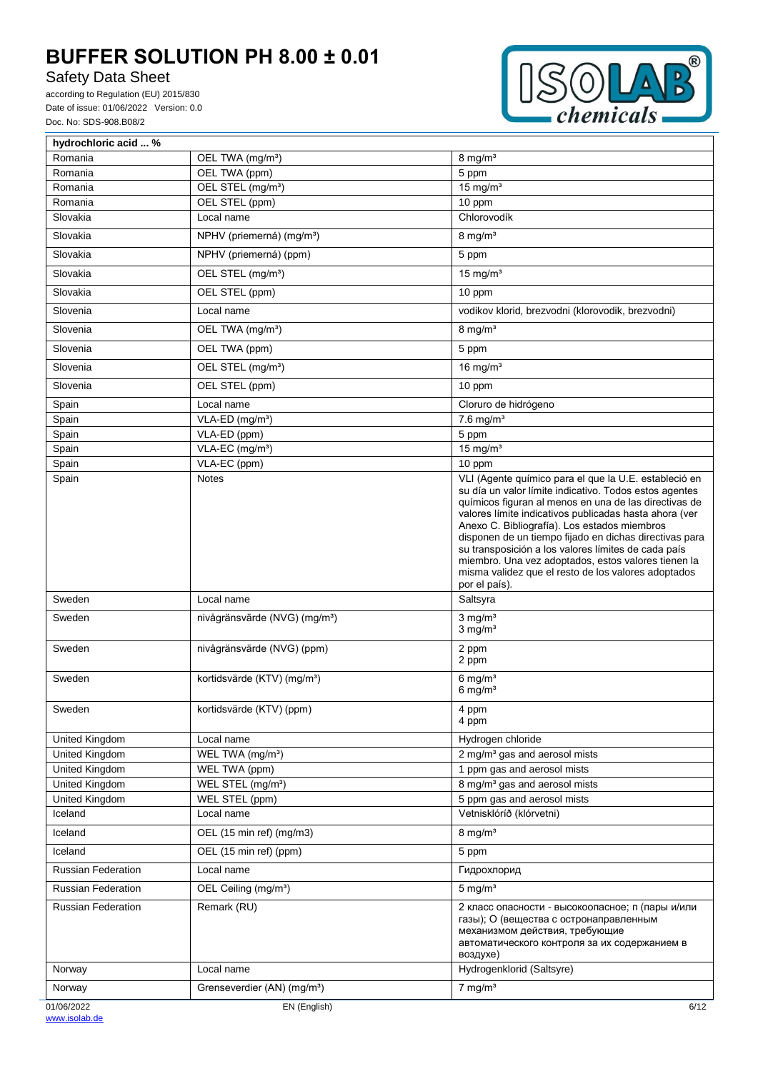# Safety Data Sheet



| hydrochloric acid  %      |                                           |                                                                                                                                                                                                                                                                                                                                                                                                                                                                                                                                    |
|---------------------------|-------------------------------------------|------------------------------------------------------------------------------------------------------------------------------------------------------------------------------------------------------------------------------------------------------------------------------------------------------------------------------------------------------------------------------------------------------------------------------------------------------------------------------------------------------------------------------------|
| Romania                   | OEL TWA (mg/m <sup>3</sup> )              | $8 \text{ mg/m}^3$                                                                                                                                                                                                                                                                                                                                                                                                                                                                                                                 |
| Romania                   | OEL TWA (ppm)                             | 5 ppm                                                                                                                                                                                                                                                                                                                                                                                                                                                                                                                              |
| Romania                   | OEL STEL (mg/m <sup>3</sup> )             | $15$ mg/m <sup>3</sup>                                                                                                                                                                                                                                                                                                                                                                                                                                                                                                             |
| Romania                   | OEL STEL (ppm)                            | 10 ppm                                                                                                                                                                                                                                                                                                                                                                                                                                                                                                                             |
| Slovakia                  | Local name                                | Chlorovodík                                                                                                                                                                                                                                                                                                                                                                                                                                                                                                                        |
| Slovakia                  | NPHV (priemerná) (mg/m <sup>3</sup> )     | $8$ mg/m <sup>3</sup>                                                                                                                                                                                                                                                                                                                                                                                                                                                                                                              |
| Slovakia                  | NPHV (priemerná) (ppm)                    | 5 ppm                                                                                                                                                                                                                                                                                                                                                                                                                                                                                                                              |
| Slovakia                  | OEL STEL (mg/m <sup>3</sup> )             | 15 mg/ $m3$                                                                                                                                                                                                                                                                                                                                                                                                                                                                                                                        |
| Slovakia                  | OEL STEL (ppm)                            | 10 ppm                                                                                                                                                                                                                                                                                                                                                                                                                                                                                                                             |
| Slovenia                  | Local name                                | vodikov klorid, brezvodni (klorovodik, brezvodni)                                                                                                                                                                                                                                                                                                                                                                                                                                                                                  |
| Slovenia                  | OEL TWA (mg/m <sup>3</sup> )              | $8$ mg/m <sup>3</sup>                                                                                                                                                                                                                                                                                                                                                                                                                                                                                                              |
| Slovenia                  | OEL TWA (ppm)                             | 5 ppm                                                                                                                                                                                                                                                                                                                                                                                                                                                                                                                              |
| Slovenia                  | OEL STEL (mg/m <sup>3</sup> )             | 16 mg/ $m3$                                                                                                                                                                                                                                                                                                                                                                                                                                                                                                                        |
| Slovenia                  | OEL STEL (ppm)                            | 10 ppm                                                                                                                                                                                                                                                                                                                                                                                                                                                                                                                             |
| Spain                     | Local name                                | Cloruro de hidrógeno                                                                                                                                                                                                                                                                                                                                                                                                                                                                                                               |
| Spain                     | VLA-ED (mg/m <sup>3</sup> )               | $7.6$ mg/m <sup>3</sup>                                                                                                                                                                                                                                                                                                                                                                                                                                                                                                            |
| Spain                     | VLA-ED (ppm)                              | 5 ppm                                                                                                                                                                                                                                                                                                                                                                                                                                                                                                                              |
| Spain                     | VLA-EC (mg/m <sup>3</sup> )               | $15$ mg/m <sup>3</sup>                                                                                                                                                                                                                                                                                                                                                                                                                                                                                                             |
| Spain                     | VLA-EC (ppm)                              | 10 ppm                                                                                                                                                                                                                                                                                                                                                                                                                                                                                                                             |
| Spain                     | <b>Notes</b>                              | VLI (Agente químico para el que la U.E. estableció en<br>su día un valor límite indicativo. Todos estos agentes<br>químicos figuran al menos en una de las directivas de<br>valores límite indicativos publicadas hasta ahora (ver<br>Anexo C. Bibliografía). Los estados miembros<br>disponen de un tiempo fijado en dichas directivas para<br>su transposición a los valores límites de cada país<br>miembro. Una vez adoptados, estos valores tienen la<br>misma validez que el resto de los valores adoptados<br>por el país). |
| Sweden                    | Local name                                | Saltsyra                                                                                                                                                                                                                                                                                                                                                                                                                                                                                                                           |
| Sweden                    | nivågränsvärde (NVG) (mg/m <sup>3</sup> ) | $3$ mg/m <sup>3</sup><br>$3$ mg/m <sup>3</sup>                                                                                                                                                                                                                                                                                                                                                                                                                                                                                     |
| Sweden                    | nivågränsvärde (NVG) (ppm)                | 2 ppm<br>2 ppm                                                                                                                                                                                                                                                                                                                                                                                                                                                                                                                     |
| Sweden                    | kortidsvärde (KTV) (mg/m <sup>3</sup> )   | $6$ mg/m <sup>3</sup><br>$6 \,\mathrm{mg/m^3}$                                                                                                                                                                                                                                                                                                                                                                                                                                                                                     |
| Sweden                    | kortidsvärde (KTV) (ppm)                  | 4 ppm<br>4 ppm                                                                                                                                                                                                                                                                                                                                                                                                                                                                                                                     |
| United Kingdom            | Local name                                | Hydrogen chloride                                                                                                                                                                                                                                                                                                                                                                                                                                                                                                                  |
| United Kingdom            | WEL TWA (mg/m <sup>3</sup> )              | 2 mg/m <sup>3</sup> gas and aerosol mists                                                                                                                                                                                                                                                                                                                                                                                                                                                                                          |
| United Kingdom            | WEL TWA (ppm)                             | 1 ppm gas and aerosol mists                                                                                                                                                                                                                                                                                                                                                                                                                                                                                                        |
| United Kingdom            | WEL STEL (mg/m <sup>3</sup> )             | 8 mg/m <sup>3</sup> gas and aerosol mists                                                                                                                                                                                                                                                                                                                                                                                                                                                                                          |
| United Kingdom            | WEL STEL (ppm)                            | 5 ppm gas and aerosol mists                                                                                                                                                                                                                                                                                                                                                                                                                                                                                                        |
| Iceland                   | Local name                                | Vetnisklóríð (klórvetni)                                                                                                                                                                                                                                                                                                                                                                                                                                                                                                           |
| Iceland                   | OEL (15 min ref) (mg/m3)                  | $8$ mg/m <sup>3</sup>                                                                                                                                                                                                                                                                                                                                                                                                                                                                                                              |
| Iceland                   | OEL (15 min ref) (ppm)                    | 5 ppm                                                                                                                                                                                                                                                                                                                                                                                                                                                                                                                              |
| <b>Russian Federation</b> | Local name                                | Гидрохлорид                                                                                                                                                                                                                                                                                                                                                                                                                                                                                                                        |
| <b>Russian Federation</b> | OEL Ceiling (mg/m <sup>3</sup> )          | $5 \text{ mg/m}^3$                                                                                                                                                                                                                                                                                                                                                                                                                                                                                                                 |
| <b>Russian Federation</b> | Remark (RU)                               | 2 класс опасности - высокоопасное; п (пары и/или<br>газы); О (вещества с остронаправленным<br>механизмом действия, требующие<br>автоматического контроля за их содержанием в<br>воздухе)                                                                                                                                                                                                                                                                                                                                           |
| Norway                    | Local name                                | Hydrogenklorid (Saltsyre)                                                                                                                                                                                                                                                                                                                                                                                                                                                                                                          |
| Norway                    | Grenseverdier (AN) (mg/m <sup>3</sup> )   | $7$ mg/m <sup>3</sup>                                                                                                                                                                                                                                                                                                                                                                                                                                                                                                              |
| 01/06/2022                | EN (English)                              | 6/12                                                                                                                                                                                                                                                                                                                                                                                                                                                                                                                               |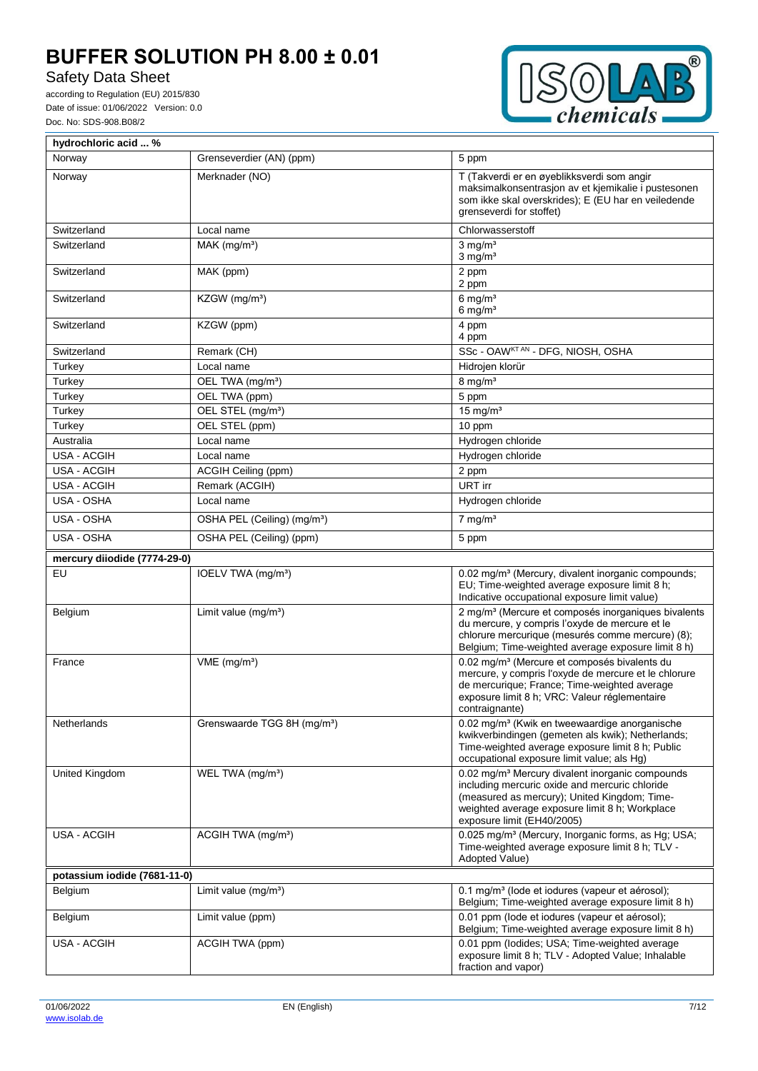# Safety Data Sheet



| hydrochloric acid  %         |                                         |                                                                                                                                                                                                                                               |
|------------------------------|-----------------------------------------|-----------------------------------------------------------------------------------------------------------------------------------------------------------------------------------------------------------------------------------------------|
| Norway                       | Grenseverdier (AN) (ppm)                | 5 ppm                                                                                                                                                                                                                                         |
| Norway                       | Merknader (NO)                          | T (Takverdi er en øyeblikksverdi som angir<br>maksimalkonsentrasjon av et kjemikalie i pustesonen<br>som ikke skal overskrides); E (EU har en veiledende<br>grenseverdi for stoffet)                                                          |
| Switzerland                  | Local name                              | Chlorwasserstoff                                                                                                                                                                                                                              |
| Switzerland                  | $MAK$ (mg/m <sup>3</sup> )              | $3$ mg/m <sup>3</sup><br>$3$ mg/m <sup>3</sup>                                                                                                                                                                                                |
| Switzerland                  | MAK (ppm)                               | 2 ppm<br>2 ppm                                                                                                                                                                                                                                |
| Switzerland                  | $KZGW$ (mg/m <sup>3</sup> )             | $6$ mg/m <sup>3</sup><br>$6$ mg/m <sup>3</sup>                                                                                                                                                                                                |
| Switzerland                  | KZGW (ppm)                              | 4 ppm<br>4 ppm                                                                                                                                                                                                                                |
| Switzerland                  | Remark (CH)                             | SSc - OAWKTAN - DFG, NIOSH, OSHA                                                                                                                                                                                                              |
| Turkey                       | Local name                              | Hidrojen klorür                                                                                                                                                                                                                               |
| Turkey                       | OEL TWA (mg/m <sup>3</sup> )            | $8$ mg/m <sup>3</sup>                                                                                                                                                                                                                         |
| Turkey                       | OEL TWA (ppm)                           | 5 ppm                                                                                                                                                                                                                                         |
| Turkey                       | OEL STEL (mg/m <sup>3</sup> )           | $15$ mg/m <sup>3</sup>                                                                                                                                                                                                                        |
| Turkey                       | OEL STEL (ppm)                          | 10 ppm                                                                                                                                                                                                                                        |
| Australia                    | Local name                              | Hydrogen chloride                                                                                                                                                                                                                             |
| USA - ACGIH                  | Local name                              | Hydrogen chloride                                                                                                                                                                                                                             |
| USA - ACGIH                  | ACGIH Ceiling (ppm)                     | 2 ppm                                                                                                                                                                                                                                         |
| USA - ACGIH                  | Remark (ACGIH)                          | URT irr                                                                                                                                                                                                                                       |
| USA - OSHA                   | Local name                              | Hydrogen chloride                                                                                                                                                                                                                             |
| USA - OSHA                   | OSHA PEL (Ceiling) (mg/m <sup>3</sup> ) | $7$ mg/m <sup>3</sup>                                                                                                                                                                                                                         |
| USA - OSHA                   | OSHA PEL (Ceiling) (ppm)                | 5 ppm                                                                                                                                                                                                                                         |
| mercury diiodide (7774-29-0) |                                         |                                                                                                                                                                                                                                               |
| EU                           | IOELV TWA (mg/m <sup>3</sup> )          | 0.02 mg/m <sup>3</sup> (Mercury, divalent inorganic compounds;<br>EU; Time-weighted average exposure limit 8 h;<br>Indicative occupational exposure limit value)                                                                              |
| Belgium                      | Limit value $(mg/m3)$                   | 2 mg/m <sup>3</sup> (Mercure et composés inorganiques bivalents<br>du mercure, y compris l'oxyde de mercure et le<br>chlorure mercurique (mesurés comme mercure) (8);<br>Belgium; Time-weighted average exposure limit 8 h)                   |
| France                       | $VME$ (mg/m <sup>3</sup> )              | 0.02 mg/m <sup>3</sup> (Mercure et composés bivalents du<br>mercure, y compris l'oxyde de mercure et le chlorure<br>de mercurique; France; Time-weighted average<br>exposure limit 8 h; VRC: Valeur réglementaire<br>contraignante)           |
| Netherlands                  | Grenswaarde TGG 8H (mg/m <sup>3</sup> ) | 0.02 mg/m <sup>3</sup> (Kwik en tweewaardige anorganische<br>kwikverbindingen (gemeten als kwik); Netherlands;<br>Time-weighted average exposure limit 8 h; Public<br>occupational exposure limit value; als Hq)                              |
| <b>United Kingdom</b>        | WEL TWA (mg/m <sup>3</sup> )            | 0.02 mg/m <sup>3</sup> Mercury divalent inorganic compounds<br>including mercuric oxide and mercuric chloride<br>(measured as mercury); United Kingdom; Time-<br>weighted average exposure limit 8 h; Workplace<br>exposure limit (EH40/2005) |
| <b>USA - ACGIH</b>           | ACGIH TWA (mg/m <sup>3</sup> )          | 0.025 mg/m <sup>3</sup> (Mercury, Inorganic forms, as Hg; USA;<br>Time-weighted average exposure limit 8 h; TLV -<br>Adopted Value)                                                                                                           |
| potassium iodide (7681-11-0) |                                         |                                                                                                                                                                                                                                               |
| Belgium                      | Limit value $(mg/m3)$                   | 0.1 mg/m <sup>3</sup> (lode et iodures (vapeur et aérosol);<br>Belgium; Time-weighted average exposure limit 8 h)                                                                                                                             |
| Belgium                      | Limit value (ppm)                       | 0.01 ppm (lode et iodures (vapeur et aérosol);<br>Belgium; Time-weighted average exposure limit 8 h)                                                                                                                                          |
| USA - ACGIH                  | ACGIH TWA (ppm)                         | 0.01 ppm (lodides; USA; Time-weighted average<br>exposure limit 8 h; TLV - Adopted Value; Inhalable<br>fraction and vapor)                                                                                                                    |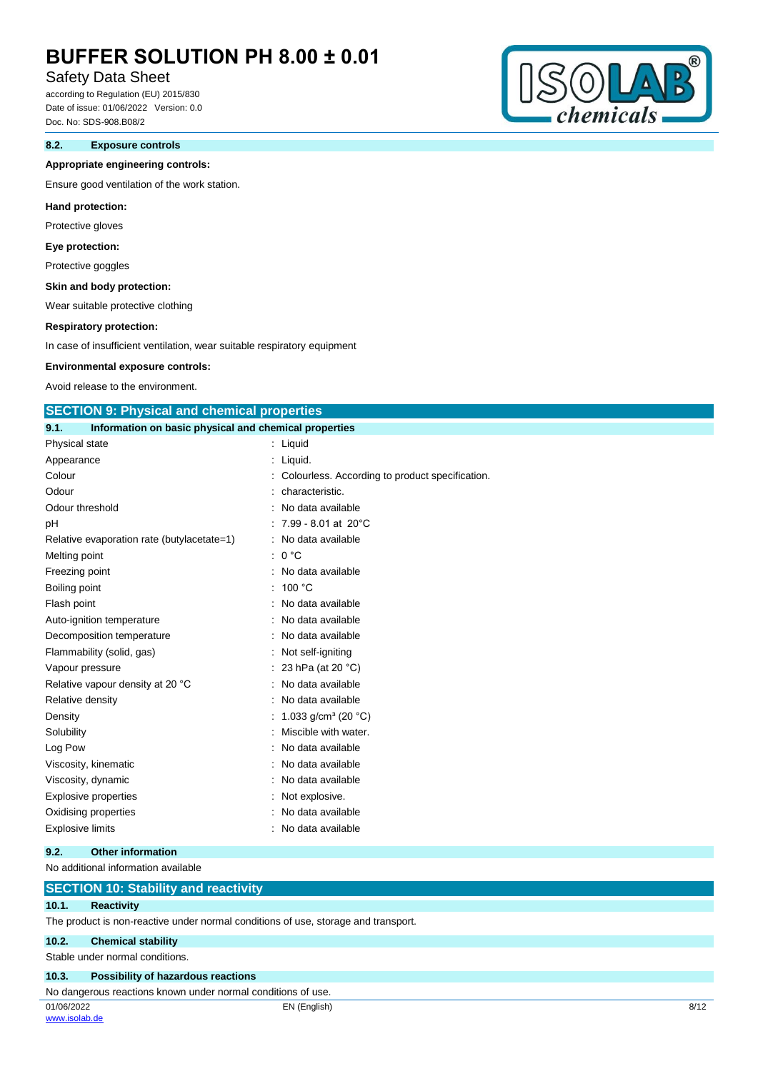# Safety Data Sheet

according to Regulation (EU) 2015/830 Date of issue: 01/06/2022 Version: 0.0 Doc. No: SDS-908.B08/2

### **8.2. Exposure controls**

#### **Appropriate engineering controls:**

Ensure good ventilation of the work station.

#### **Hand protection:**

Protective gloves

#### **Eye protection:**

Protective goggles

### **Skin and body protection:**

Wear suitable protective clothing

#### **Respiratory protection:**

In case of insufficient ventilation, wear suitable respiratory equipment

#### **Environmental exposure controls:**

Avoid release to the environment.

### **SECTION 9: Physical and chemical properties**

| 9.1.          | Information on basic physical and chemical properties |                                           |                                                 |
|---------------|-------------------------------------------------------|-------------------------------------------|-------------------------------------------------|
|               | Physical state                                        | Liquid                                    |                                                 |
| Appearance    |                                                       | Liquid.                                   |                                                 |
| Colour        |                                                       |                                           | Colourless. According to product specification. |
| Odour         |                                                       | characteristic.                           |                                                 |
|               | Odour threshold                                       | No data available                         |                                                 |
| pH            |                                                       | $7.99 - 8.01$ at 20 $^{\circ}$ C          |                                                 |
|               | Relative evaporation rate (butylacetate=1)            | No data available                         |                                                 |
|               | Melting point                                         | 0 °C                                      |                                                 |
|               | Freezing point                                        | No data available                         |                                                 |
| Boiling point |                                                       | 100 °C                                    |                                                 |
| Flash point   |                                                       | No data available                         |                                                 |
|               | Auto-ignition temperature                             | No data available                         |                                                 |
|               | Decomposition temperature                             | : No data available                       |                                                 |
|               | Flammability (solid, gas)                             | Not self-igniting                         |                                                 |
|               | Vapour pressure                                       | 23 hPa (at 20 °C)                         |                                                 |
|               | Relative vapour density at 20 °C                      | No data available                         |                                                 |
|               | Relative density                                      | No data available                         |                                                 |
| Density       |                                                       | 1.033 g/cm <sup>3</sup> (20 $^{\circ}$ C) |                                                 |
| Solubility    |                                                       | Miscible with water.                      |                                                 |
| Log Pow       |                                                       | No data available                         |                                                 |
|               | Viscosity, kinematic                                  | No data available                         |                                                 |
|               | Viscosity, dynamic                                    | No data available                         |                                                 |
|               | <b>Explosive properties</b>                           | : Not explosive.                          |                                                 |
|               | Oxidising properties                                  | No data available                         |                                                 |
|               | Explosive limits                                      | No data available                         |                                                 |

#### **9.2. Other information**

#### No additional information available

### **SECTION 10: Stability and reactivity**

### **10.1. Reactivity**

The product is non-reactive under normal conditions of use, storage and transport.

#### **10.2. Chemical stability**

Stable under normal conditions.

#### **10.3. Possibility of hazardous reactions**

No dangerous reactions known under normal conditions of use.

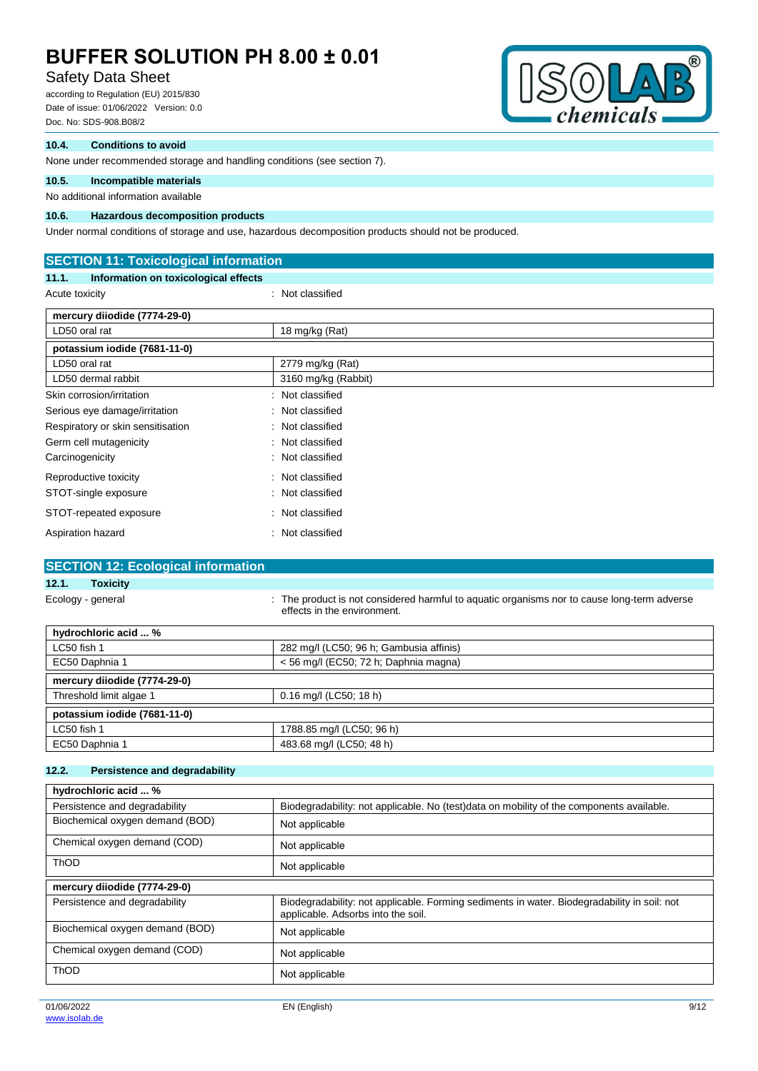# Safety Data Sheet

according to Regulation (EU) 2015/830 Date of issue: 01/06/2022 Version: 0.0 Doc. No: SDS-908.B08/2



### **10.4. Conditions to avoid**

None under recommended storage and handling conditions (see section 7).

## **10.5. Incompatible materials**

## No additional information available

## **10.6. Hazardous decomposition products**

Under normal conditions of storage and use, hazardous decomposition products should not be produced.

| <b>SECTION 11: Toxicological information</b>  |                      |  |
|-----------------------------------------------|----------------------|--|
| Information on toxicological effects<br>11.1. |                      |  |
| Acute toxicity                                | : Not classified     |  |
| mercury diiodide (7774-29-0)                  |                      |  |
| LD50 oral rat                                 | 18 mg/kg (Rat)       |  |
| potassium iodide (7681-11-0)                  |                      |  |
| LD50 oral rat                                 | 2779 mg/kg (Rat)     |  |
| LD50 dermal rabbit                            | 3160 mg/kg (Rabbit)  |  |
| Skin corrosion/irritation                     | Not classified       |  |
| Serious eye damage/irritation                 | Not classified<br>÷. |  |
| Respiratory or skin sensitisation             | Not classified<br>÷  |  |
| Germ cell mutagenicity                        | : Not classified     |  |
| Carcinogenicity                               | : Not classified     |  |
| Reproductive toxicity                         | Not classified<br>÷  |  |
| STOT-single exposure                          | Not classified<br>÷. |  |
| STOT-repeated exposure                        | Not classified<br>÷  |  |
| Aspiration hazard                             | Not classified       |  |

## **SECTION 12: Ecological information**

## **12.1. Toxicity**

Ecology - general state of the product is not considered harmful to aquatic organisms nor to cause long-term adverse effects in the environment.

| hydrochloric acid  %         |                                         |
|------------------------------|-----------------------------------------|
| LC50 fish 1                  | 282 mg/l (LC50; 96 h; Gambusia affinis) |
| EC50 Daphnia 1               | $<$ 56 mg/l (EC50; 72 h; Daphnia magna) |
| mercury diiodide (7774-29-0) |                                         |
| Threshold limit algae 1      | 0.16 mg/l (LC50; 18 h)                  |
| potassium iodide (7681-11-0) |                                         |
| LC50 fish 1                  | 1788.85 mg/l (LC50; 96 h)               |
| EC50 Daphnia 1               | 483.68 mg/l (LC50; 48 h)                |

#### **12.2. Persistence and degradability**

| hydrochloric acid  %            |                                                                                                                                   |
|---------------------------------|-----------------------------------------------------------------------------------------------------------------------------------|
| Persistence and degradability   | Biodegradability: not applicable. No (test)data on mobility of the components available.                                          |
| Biochemical oxygen demand (BOD) | Not applicable                                                                                                                    |
| Chemical oxygen demand (COD)    | Not applicable                                                                                                                    |
| <b>ThOD</b>                     | Not applicable                                                                                                                    |
| mercury diiodide (7774-29-0)    |                                                                                                                                   |
| Persistence and degradability   | Biodegradability: not applicable. Forming sediments in water. Biodegradability in soil: not<br>applicable. Adsorbs into the soil. |
| Biochemical oxygen demand (BOD) | Not applicable                                                                                                                    |
| Chemical oxygen demand (COD)    | Not applicable                                                                                                                    |
| <b>ThOD</b>                     | Not applicable                                                                                                                    |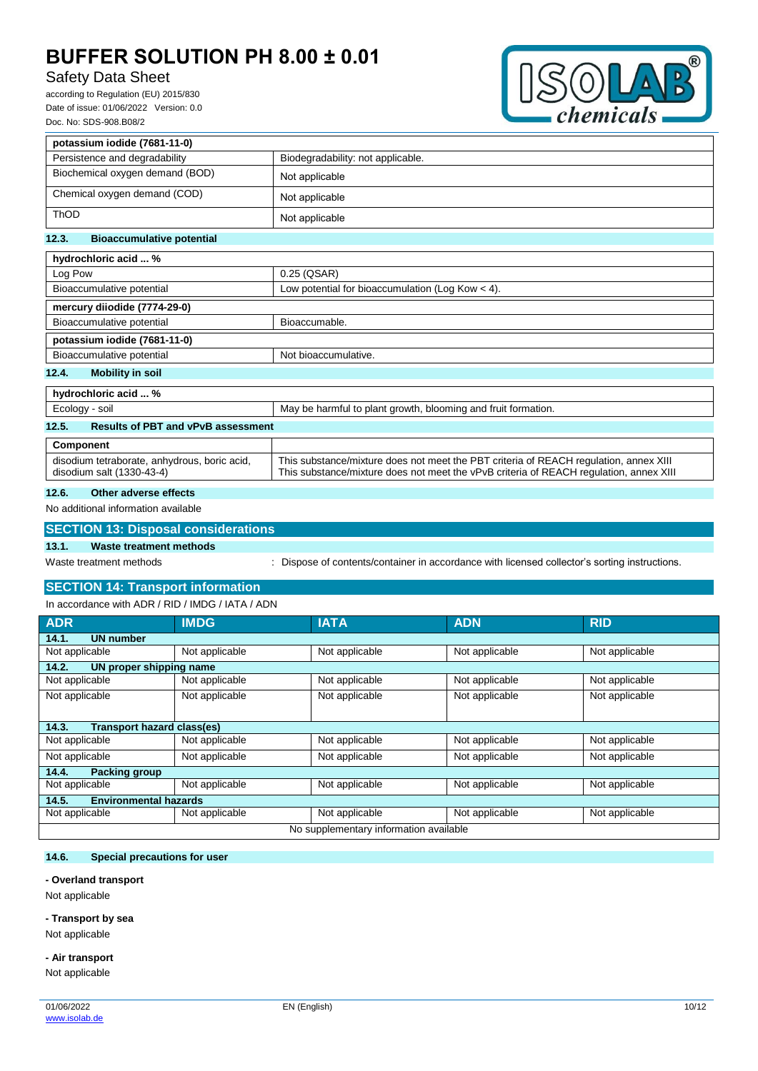# Safety Data Sheet

according to Regulation (EU) 2015/830 Date of issue: 01/06/2022 Version: 0.0 Doc. No: SDS-908.B08/2



| potassium iodide (7681-11-0)              |                                                               |
|-------------------------------------------|---------------------------------------------------------------|
| Persistence and degradability             | Biodegradability: not applicable.                             |
| Biochemical oxygen demand (BOD)           | Not applicable                                                |
| Chemical oxygen demand (COD)              | Not applicable                                                |
| <b>ThOD</b>                               | Not applicable                                                |
| 12.3.<br><b>Bioaccumulative potential</b> |                                                               |
| hydrochloric acid  %                      |                                                               |
| Log Pow                                   | 0.25 (QSAR)                                                   |
| Bioaccumulative potential                 | Low potential for bioaccumulation (Log Kow $<$ 4).            |
| mercury diiodide (7774-29-0)              |                                                               |
| Bioaccumulative potential                 | Bioaccumable.                                                 |
| potassium iodide (7681-11-0)              |                                                               |
| Bioaccumulative potential                 | Not bioaccumulative.                                          |
| <b>Mobility in soil</b><br>12.4.          |                                                               |
| hydrochloric acid  %                      |                                                               |
| Ecology - soil                            | May be harmful to plant growth, blooming and fruit formation. |

# **12.5. Results of PBT and vPvB assessment**

| .                                                                         |                                                                                                                                                                                 |  |  |
|---------------------------------------------------------------------------|---------------------------------------------------------------------------------------------------------------------------------------------------------------------------------|--|--|
|                                                                           |                                                                                                                                                                                 |  |  |
| Component                                                                 |                                                                                                                                                                                 |  |  |
| disodium tetraborate, anhydrous, boric acid,<br>disodium salt (1330-43-4) | This substance/mixture does not meet the PBT criteria of REACH regulation, annex XIII<br>This substance/mixture does not meet the vPvB criteria of REACH regulation, annex XIII |  |  |

## **12.6. Other adverse effects**

## No additional information available

|       | <b>SECTION 13: Disposal considerations</b> |                                                                                             |
|-------|--------------------------------------------|---------------------------------------------------------------------------------------------|
| 13.1. | Waste treatment methods                    |                                                                                             |
|       | Waste treatment methods                    | Dispose of contents/container in accordance with licensed collector's sorting instructions. |

# **SECTION 14: Transport information**

In accordance with ADR / RID / IMDG / IATA / ADN

| <b>ADR</b>                             | <b>IMDG</b>    | <b>IATA</b>    | <b>ADN</b>     | <b>RID</b>     |
|----------------------------------------|----------------|----------------|----------------|----------------|
| <b>UN number</b><br>14.1.              |                |                |                |                |
| Not applicable                         | Not applicable | Not applicable | Not applicable | Not applicable |
| 14.2.<br>UN proper shipping name       |                |                |                |                |
| Not applicable                         | Not applicable | Not applicable | Not applicable | Not applicable |
| Not applicable                         | Not applicable | Not applicable | Not applicable | Not applicable |
|                                        |                |                |                |                |
| Transport hazard class(es)<br>14.3.    |                |                |                |                |
| Not applicable                         | Not applicable | Not applicable | Not applicable | Not applicable |
| Not applicable                         | Not applicable | Not applicable | Not applicable | Not applicable |
| 14.4.<br><b>Packing group</b>          |                |                |                |                |
| Not applicable                         | Not applicable | Not applicable | Not applicable | Not applicable |
| <b>Environmental hazards</b><br>14.5.  |                |                |                |                |
| Not applicable                         | Not applicable | Not applicable | Not applicable | Not applicable |
| No supplementary information available |                |                |                |                |

### **14.6. Special precautions for user**

#### **- Overland transport**

Not applicable

### **- Transport by sea**

Not applicable

# **- Air transport**

Not applicable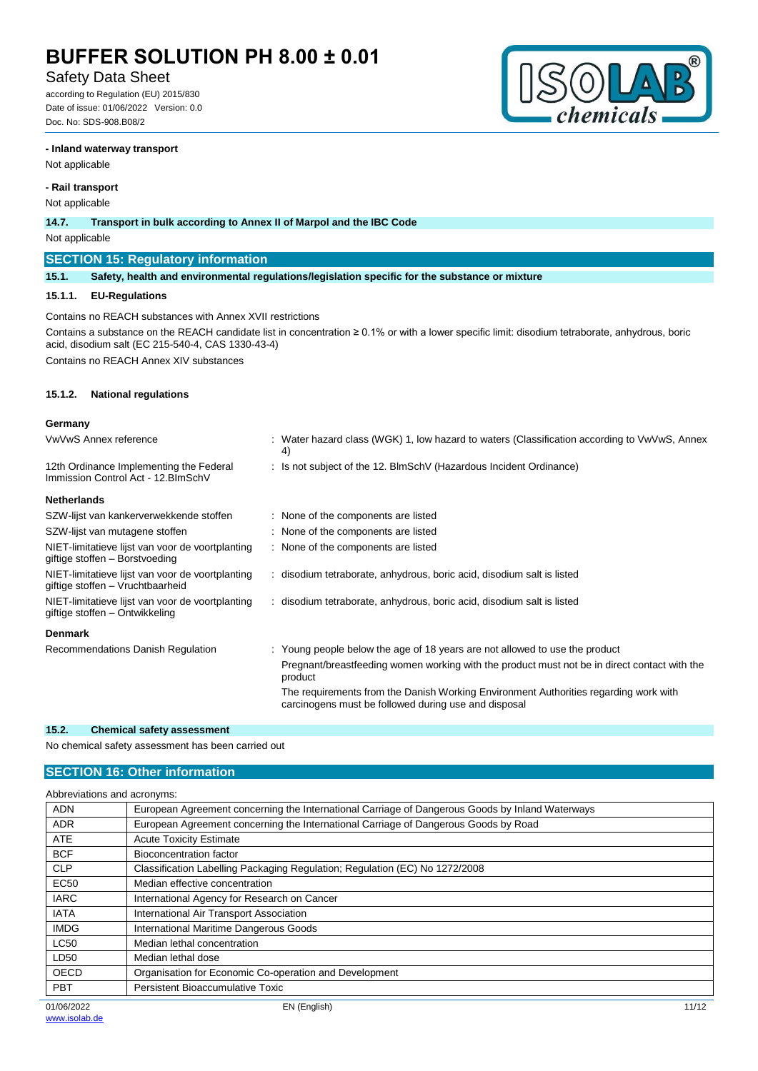# Safety Data Sheet

according to Regulation (EU) 2015/830 Date of issue: 01/06/2022 Version: 0.0 Doc. No: SDS-908.B08/2



#### **- Inland waterway transport**

Not applicable

## **- Rail transport**

Not applicable

**14.7. Transport in bulk according to Annex II of Marpol and the IBC Code**

#### Not applicable

### **SECTION 15: Regulatory information**

**15.1. Safety, health and environmental regulations/legislation specific for the substance or mixture**

#### **15.1.1. EU-Regulations**

Contains no REACH substances with Annex XVII restrictions Contains a substance on the REACH candidate list in concentration ≥ 0.1% or with a lower specific limit: disodium tetraborate, anhydrous, boric acid, disodium salt (EC 215-540-4, CAS 1330-43-4)

Contains no REACH Annex XIV substances

#### **15.1.2. National regulations**

#### **Germany**

| VwVwS Annex reference                                                                | : Water hazard class (WGK) 1, low hazard to waters (Classification according to VwVwS, Annex<br>4)                                           |
|--------------------------------------------------------------------------------------|----------------------------------------------------------------------------------------------------------------------------------------------|
| 12th Ordinance Implementing the Federal<br>Immission Control Act - 12. BlmSchV       | : Is not subject of the 12. BlmSchV (Hazardous Incident Ordinance)                                                                           |
| <b>Netherlands</b>                                                                   |                                                                                                                                              |
| SZW-lijst van kankerverwekkende stoffen                                              | : None of the components are listed                                                                                                          |
| SZW-lijst van mutagene stoffen                                                       | : None of the components are listed                                                                                                          |
| NIET-limitatieve lijst van voor de voortplanting<br>giftige stoffen - Borstvoeding   | : None of the components are listed                                                                                                          |
| NIET-limitatieve lijst van voor de voortplanting<br>giftige stoffen - Vruchtbaarheid | : disodium tetraborate, anhydrous, boric acid, disodium salt is listed                                                                       |
| NIET-limitatieve lijst van voor de voortplanting<br>giftige stoffen – Ontwikkeling   | : disodium tetraborate, anhydrous, boric acid, disodium salt is listed                                                                       |
| <b>Denmark</b>                                                                       |                                                                                                                                              |
| Recommendations Danish Regulation                                                    | : Young people below the age of 18 years are not allowed to use the product                                                                  |
|                                                                                      | Pregnant/breastfeeding women working with the product must not be in direct contact with the<br>product                                      |
|                                                                                      | The requirements from the Danish Working Environment Authorities regarding work with<br>carcinogens must be followed during use and disposal |

### **15.2. Chemical safety assessment**

No chemical safety assessment has been carried out

## **SECTION 16: Other information**

|             | Abbreviations and acronyms:                                                                     |       |  |
|-------------|-------------------------------------------------------------------------------------------------|-------|--|
| <b>ADN</b>  | European Agreement concerning the International Carriage of Dangerous Goods by Inland Waterways |       |  |
| <b>ADR</b>  | European Agreement concerning the International Carriage of Dangerous Goods by Road             |       |  |
| <b>ATE</b>  | <b>Acute Toxicity Estimate</b>                                                                  |       |  |
| <b>BCF</b>  | Bioconcentration factor                                                                         |       |  |
| <b>CLP</b>  | Classification Labelling Packaging Regulation; Regulation (EC) No 1272/2008                     |       |  |
| EC50        | Median effective concentration                                                                  |       |  |
| <b>IARC</b> | International Agency for Research on Cancer                                                     |       |  |
| <b>IATA</b> | International Air Transport Association                                                         |       |  |
| <b>IMDG</b> | International Maritime Dangerous Goods                                                          |       |  |
| <b>LC50</b> | Median lethal concentration                                                                     |       |  |
| LD50        | Median lethal dose                                                                              |       |  |
| <b>OECD</b> | Organisation for Economic Co-operation and Development                                          |       |  |
| <b>PBT</b>  | Persistent Bioaccumulative Toxic                                                                |       |  |
| 01/06/2022  | EN (English)                                                                                    | 11/12 |  |